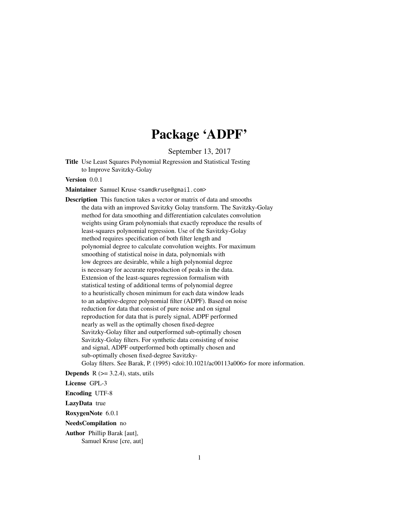## Package 'ADPF'

September 13, 2017

Title Use Least Squares Polynomial Regression and Statistical Testing to Improve Savitzky-Golay

Version 0.0.1

Maintainer Samuel Kruse <samdkruse@gmail.com>

Description This function takes a vector or matrix of data and smooths the data with an improved Savitzky Golay transform. The Savitzky-Golay method for data smoothing and differentiation calculates convolution weights using Gram polynomials that exactly reproduce the results of least-squares polynomial regression. Use of the Savitzky-Golay method requires specification of both filter length and polynomial degree to calculate convolution weights. For maximum smoothing of statistical noise in data, polynomials with low degrees are desirable, while a high polynomial degree is necessary for accurate reproduction of peaks in the data. Extension of the least-squares regression formalism with statistical testing of additional terms of polynomial degree to a heuristically chosen minimum for each data window leads to an adaptive-degree polynomial filter (ADPF). Based on noise reduction for data that consist of pure noise and on signal reproduction for data that is purely signal, ADPF performed nearly as well as the optimally chosen fixed-degree Savitzky-Golay filter and outperformed sub-optimally chosen Savitzky-Golay filters. For synthetic data consisting of noise and signal, ADPF outperformed both optimally chosen and sub-optimally chosen fixed-degree Savitzky-Golay filters. See Barak, P. (1995) <doi:10.1021/ac00113a006> for more information.

**Depends** R  $(>= 3.2.4)$ , stats, utils

License GPL-3

Encoding UTF-8

LazyData true

RoxygenNote 6.0.1

NeedsCompilation no

Author Phillip Barak [aut], Samuel Kruse [cre, aut]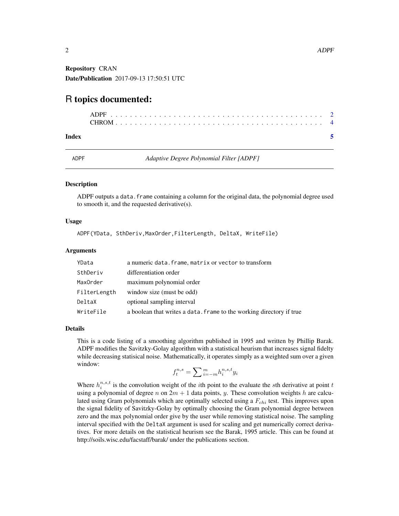<span id="page-1-0"></span>Repository CRAN Date/Publication 2017-09-13 17:50:51 UTC

### R topics documented:

#### **Index** [5](#page-4-0). The second state of the second state of the second state of the second state of the second state of the second state of the second state of the second state of the second state of the second state of the second

ADPF *Adaptive Degree Polynomial Filter [ADPF]*

#### Description

ADPF outputs a data. frame containing a column for the original data, the polynomial degree used to smooth it, and the requested derivative(s).

#### Usage

ADPF(YData, SthDeriv,MaxOrder,FilterLength, DeltaX, WriteFile)

#### Arguments

| YData        | a numeric data. frame, matrix or vector to transform                 |
|--------------|----------------------------------------------------------------------|
| SthDeriv     | differentiation order                                                |
| MaxOrder     | maximum polynomial order                                             |
| FilterLength | window size (must be odd)                                            |
| DeltaX       | optional sampling interval                                           |
| WriteFile    | a boolean that writes a data. frame to the working directory if true |

#### Details

This is a code listing of a smoothing algorithm published in 1995 and written by Phillip Barak. ADPF modifies the Savitzky-Golay algorithm with a statistical heurism that increases signal fidelty while decreasing statisical noise. Mathematically, it operates simply as a weighted sum over a given window:

$$
f_t^{n,s} = \sum_{i=-m}^{m} h_i^{n,s,t} y_i
$$

Where  $h_i^{n,s,t}$  is the convolution weight of the *i*th point to the evaluate the *s*th derivative at point t using a polynomial of degree n on  $2m + 1$  data points, y. These convolution weights h are calculated using Gram polynomials which are optimally selected using a  $F_{chi}$  test. This improves upon the signal fidelity of Savitzky-Golay by optimally choosing the Gram polynomial degree between zero and the max polynomial order give by the user while removing statistical noise. The sampling interval specified with the DeltaX argument is used for scaling and get numerically correct derivatives. For more details on the statistical heurism see the Barak, 1995 article. This can be found at http://soils.wisc.edu/facstaff/barak/ under the publications section.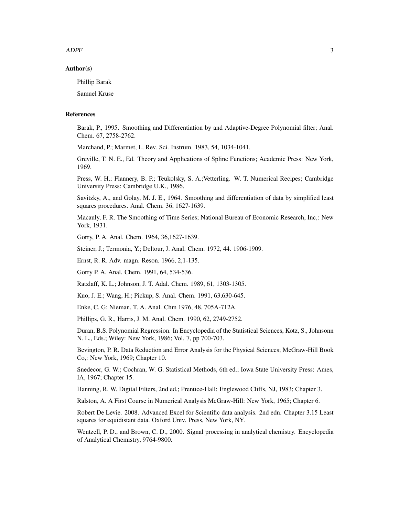$ADPF$  3

#### Author(s)

Phillip Barak

Samuel Kruse

#### References

Barak, P., 1995. Smoothing and Differentiation by and Adaptive-Degree Polynomial filter; Anal. Chem. 67, 2758-2762.

Marchand, P.; Marmet, L. Rev. Sci. Instrum. 1983, 54, 1034-1041.

Greville, T. N. E., Ed. Theory and Applications of Spline Functions; Academic Press: New York, 1969.

Press, W. H.; Flannery, B. P.; Teukolsky, S. A.;Vetterling. W. T. Numerical Recipes; Cambridge University Press: Cambridge U.K., 1986.

Savitzky, A., and Golay, M. J. E., 1964. Smoothing and differentiation of data by simplified least squares procedures. Anal. Chem. 36, 1627-1639.

Macauly, F. R. The Smoothing of Time Series; National Bureau of Economic Research, Inc,: New York, 1931.

Gorry, P. A. Anal. Chem. 1964, 36,1627-1639.

Steiner, J.; Termonia, Y.; Deltour, J. Anal. Chem. 1972, 44. 1906-1909.

Ernst, R. R. Adv. magn. Reson. 1966, 2,1-135.

Gorry P. A. Anal. Chem. 1991, 64, 534-536.

Ratzlaff, K. L.; Johnson, J. T. Adal. Chem. 1989, 61, 1303-1305.

Kuo, J. E.; Wang, H.; Pickup, S. Anal. Chem. 1991, 63,630-645.

Enke, C. G; Nieman, T. A. Anal. Chm 1976, 48, 705A-712A.

Phillips, G. R., Harris, J. M. Anal. Chem. 1990, 62, 2749-2752.

Duran, B.S. Polynomial Regression. In Encyclopedia of the Statistical Sciences, Kotz, S., Johnsonn N. L., Eds.; Wiley: New York, 1986; Vol. 7, pp 700-703.

Bevington, P. R. Data Reduction and Error Analysis for the Physical Sciences; McGraw-Hill Book Co,: New York, 1969; Chapter 10.

Snedecor, G. W.; Cochran, W. G. Statistical Methods, 6th ed.; Iowa State University Press: Ames, IA, 1967; Chapter 15.

Hanning, R. W. Digital Filters, 2nd ed.; Prentice-Hall: Englewood Cliffs, NJ, 1983; Chapter 3.

Ralston, A. A First Course in Numerical Analysis McGraw-Hill: New York, 1965; Chapter 6.

Robert De Levie. 2008. Advanced Excel for Scientific data analysis. 2nd edn. Chapter 3.15 Least squares for equidistant data. Oxford Univ. Press, New York, NY.

Wentzell, P. D., and Brown, C. D., 2000. Signal processing in analytical chemistry. Encyclopedia of Analytical Chemistry, 9764-9800.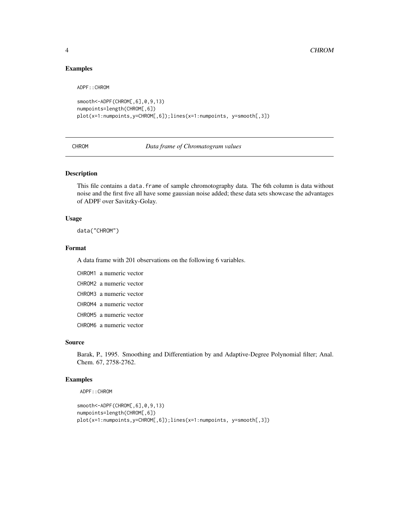#### Examples

ADPF::CHROM

```
smooth<-ADPF(CHROM[,6],0,9,13)
numpoints=length(CHROM[,6])
plot(x=1:numpoints,y=CHROM[,6]);lines(x=1:numpoints, y=smooth[,3])
```
CHROM *Data frame of Chromatogram values*

#### Description

This file contains a data.frame of sample chromotography data. The 6th column is data without noise and the first five all have some gaussian noise added; these data sets showcase the advantages of ADPF over Savitzky-Golay.

#### Usage

data("CHROM")

#### Format

A data frame with 201 observations on the following 6 variables.

```
CHROM1 a numeric vector
CHROM2 a numeric vector
CHROM3 a numeric vector
CHROM4 a numeric vector
CHROM5 a numeric vector
CHROM6 a numeric vector
```
#### Source

Barak, P., 1995. Smoothing and Differentiation by and Adaptive-Degree Polynomial filter; Anal. Chem. 67, 2758-2762.

#### Examples

```
ADPF::CHROM
```

```
smooth<-ADPF(CHROM[,6],0,9,13)
numpoints=length(CHROM[,6])
plot(x=1:numpoints,y=CHROM[,6]);lines(x=1:numpoints, y=smooth[,3])
```
<span id="page-3-0"></span>